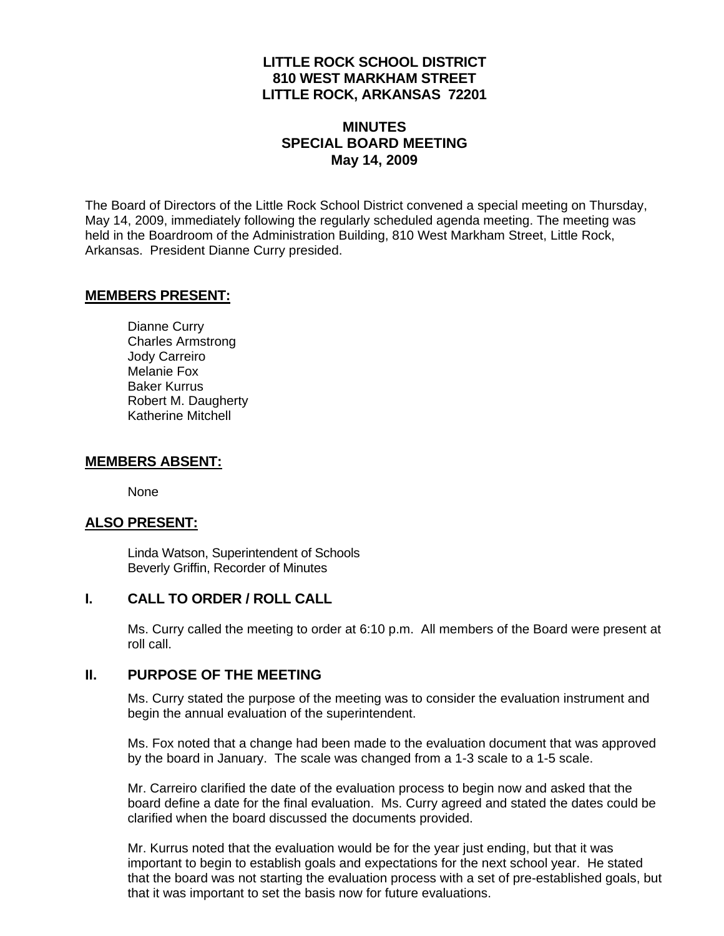# **LITTLE ROCK SCHOOL DISTRICT 810 WEST MARKHAM STREET LITTLE ROCK, ARKANSAS 72201**

# **MINUTES SPECIAL BOARD MEETING May 14, 2009**

The Board of Directors of the Little Rock School District convened a special meeting on Thursday, May 14, 2009, immediately following the regularly scheduled agenda meeting. The meeting was held in the Boardroom of the Administration Building, 810 West Markham Street, Little Rock, Arkansas. President Dianne Curry presided.

### **MEMBERS PRESENT:**

Dianne Curry Charles Armstrong Jody Carreiro Melanie Fox Baker Kurrus Robert M. Daugherty Katherine Mitchell

#### **MEMBERS ABSENT:**

None

### **ALSO PRESENT:**

 Linda Watson, Superintendent of Schools Beverly Griffin, Recorder of Minutes

### **I. CALL TO ORDER / ROLL CALL**

Ms. Curry called the meeting to order at 6:10 p.m. All members of the Board were present at roll call.

### **II. PURPOSE OF THE MEETING**

Ms. Curry stated the purpose of the meeting was to consider the evaluation instrument and begin the annual evaluation of the superintendent.

Ms. Fox noted that a change had been made to the evaluation document that was approved by the board in January. The scale was changed from a 1-3 scale to a 1-5 scale.

Mr. Carreiro clarified the date of the evaluation process to begin now and asked that the board define a date for the final evaluation. Ms. Curry agreed and stated the dates could be clarified when the board discussed the documents provided.

Mr. Kurrus noted that the evaluation would be for the year just ending, but that it was important to begin to establish goals and expectations for the next school year. He stated that the board was not starting the evaluation process with a set of pre-established goals, but that it was important to set the basis now for future evaluations.